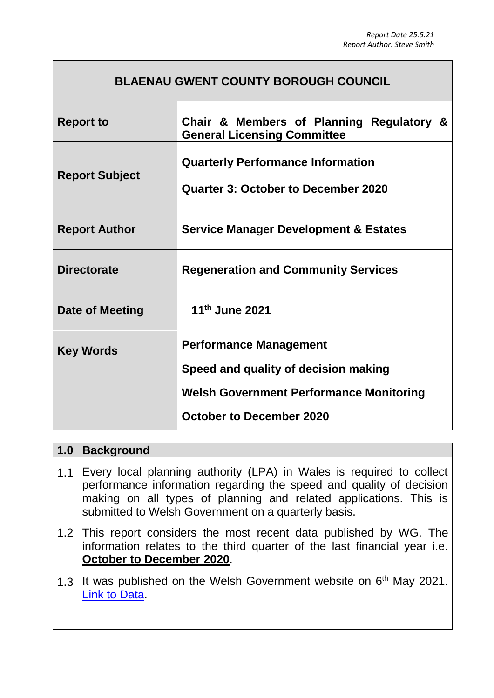## **BLAENAU GWENT COUNTY BOROUGH COUNCIL**

| <b>Report to</b>      | Chair & Members of Planning Regulatory &<br><b>General Licensing Committee</b>         |  |
|-----------------------|----------------------------------------------------------------------------------------|--|
| <b>Report Subject</b> | <b>Quarterly Performance Information</b><br><b>Quarter 3: October to December 2020</b> |  |
| <b>Report Author</b>  | <b>Service Manager Development &amp; Estates</b>                                       |  |
| <b>Directorate</b>    | <b>Regeneration and Community Services</b>                                             |  |
| Date of Meeting       | 11th June 2021                                                                         |  |
| <b>Key Words</b>      | <b>Performance Management</b>                                                          |  |
|                       | Speed and quality of decision making                                                   |  |
|                       | <b>Welsh Government Performance Monitoring</b>                                         |  |
|                       | <b>October to December 2020</b>                                                        |  |

| 1.0 | <b>Background</b>                                                                                                                                                                                                                                                       |
|-----|-------------------------------------------------------------------------------------------------------------------------------------------------------------------------------------------------------------------------------------------------------------------------|
| 1.1 | Every local planning authority (LPA) in Wales is required to collect<br>performance information regarding the speed and quality of decision<br>making on all types of planning and related applications. This is<br>submitted to Welsh Government on a quarterly basis. |
|     | 1.2 This report considers the most recent data published by WG. The<br>information relates to the third quarter of the last financial year i.e.<br><b>October to December 2020.</b>                                                                                     |
|     | 1.3 It was published on the Welsh Government website on $6th$ May 2021.<br>Link to Data                                                                                                                                                                                 |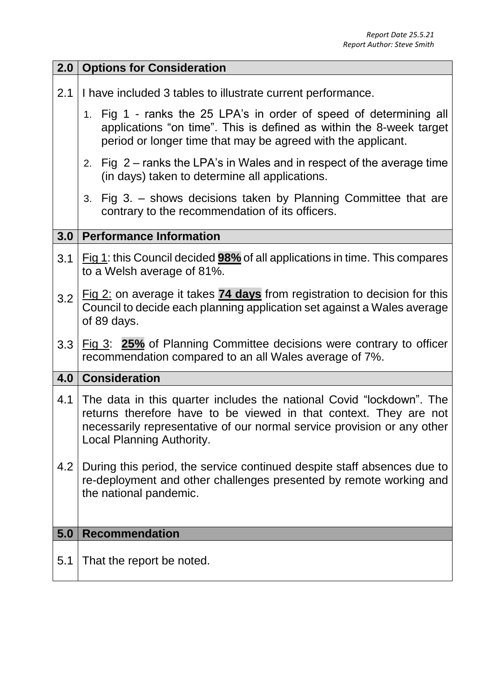| 2.0   | <b>Options for Consideration</b>                                                                                                                                                                                                                  |  |
|-------|---------------------------------------------------------------------------------------------------------------------------------------------------------------------------------------------------------------------------------------------------|--|
| 2.1   | I have included 3 tables to illustrate current performance.                                                                                                                                                                                       |  |
|       | 1. Fig 1 - ranks the 25 LPA's in order of speed of determining all<br>applications "on time". This is defined as within the 8-week target<br>period or longer time that may be agreed with the applicant.                                         |  |
|       | 2. Fig $2$ – ranks the LPA's in Wales and in respect of the average time<br>(in days) taken to determine all applications.                                                                                                                        |  |
|       | 3. Fig 3. – shows decisions taken by Planning Committee that are<br>contrary to the recommendation of its officers.                                                                                                                               |  |
| 3.0   | <b>Performance Information</b>                                                                                                                                                                                                                    |  |
| 3.1   | Fig 1: this Council decided <b>98%</b> of all applications in time. This compares<br>to a Welsh average of 81%.                                                                                                                                   |  |
| 3.2   | $Fig 2:$ on average it takes $74$ days from registration to decision for this<br>Council to decide each planning application set against a Wales average<br>of 89 days.                                                                           |  |
| 3.3   | Fig 3: 25% of Planning Committee decisions were contrary to officer<br>recommendation compared to an all Wales average of 7%.                                                                                                                     |  |
| 4.0   | <b>Consideration</b>                                                                                                                                                                                                                              |  |
| $4.1$ | The data in this quarter includes the national Covid "lockdown". The<br>returns therefore have to be viewed in that context. They are not<br>necessarily representative of our normal service provision or any other<br>Local Planning Authority. |  |
| 4.2   | During this period, the service continued despite staff absences due to<br>re-deployment and other challenges presented by remote working and<br>the national pandemic.                                                                           |  |
| 5.0   | <b>Recommendation</b>                                                                                                                                                                                                                             |  |
| 5.1   | That the report be noted.                                                                                                                                                                                                                         |  |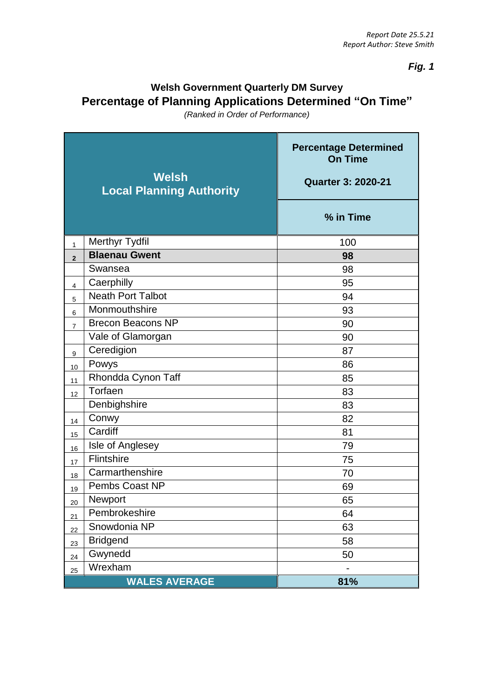*Fig. 1*

## **Welsh Government Quarterly DM Survey Percentage of Planning Applications Determined "On Time"**

*(Ranked in Order of Performance)*

| Welsh<br><b>Local Planning Authority</b> |                          | <b>Percentage Determined</b><br><b>On Time</b><br><b>Quarter 3: 2020-21</b> |
|------------------------------------------|--------------------------|-----------------------------------------------------------------------------|
|                                          |                          | % in Time                                                                   |
| $\mathbf{1}$                             | <b>Merthyr Tydfil</b>    | 100                                                                         |
| $\overline{2}$                           | <b>Blaenau Gwent</b>     | 98                                                                          |
|                                          | Swansea                  | 98                                                                          |
| $\overline{4}$                           | Caerphilly               | 95                                                                          |
| 5                                        | <b>Neath Port Talbot</b> | 94                                                                          |
| $\,6$                                    | Monmouthshire            | 93                                                                          |
| $\overline{7}$                           | <b>Brecon Beacons NP</b> | 90                                                                          |
|                                          | Vale of Glamorgan        | 90                                                                          |
| $\boldsymbol{9}$                         | Ceredigion               | 87                                                                          |
| 10                                       | Powys                    | 86                                                                          |
| 11                                       | Rhondda Cynon Taff       | 85                                                                          |
| 12                                       | $\overline{T}$ orfaen    | 83                                                                          |
|                                          | Denbighshire             | 83                                                                          |
| 14                                       | Conwy                    | 82                                                                          |
| 15                                       | Cardiff                  | 81                                                                          |
| 16                                       | Isle of Anglesey         | 79                                                                          |
| 17                                       | <b>Flintshire</b>        | 75                                                                          |
| 18                                       | Carmarthenshire          | 70                                                                          |
| 19                                       | Pembs Coast NP           | 69                                                                          |
| 20                                       | Newport                  | 65                                                                          |
| 21                                       | Pembrokeshire            | 64                                                                          |
| 22                                       | Snowdonia NP             | 63                                                                          |
| 23                                       | <b>Bridgend</b>          | 58                                                                          |
| 24                                       | Gwynedd                  | 50                                                                          |
| 25                                       | Wrexham                  |                                                                             |
|                                          | <b>WALES AVERAGE</b>     | 81%                                                                         |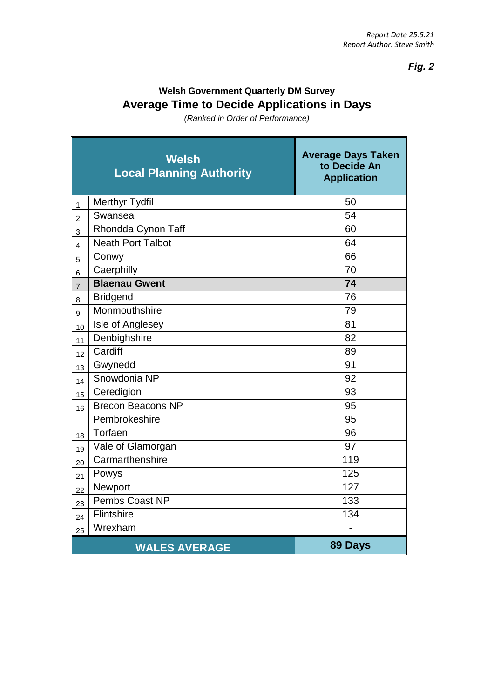*Fig. 2*

## **Welsh Government Quarterly DM Survey Average Time to Decide Applications in Days**

*(Ranked in Order of Performance)*

| Welsh<br><b>Local Planning Authority</b> |                          | <b>Average Days Taken</b><br>to Decide An<br><b>Application</b> |
|------------------------------------------|--------------------------|-----------------------------------------------------------------|
| $\mathbf{1}$                             | <b>Merthyr Tydfil</b>    | 50                                                              |
| $\overline{2}$                           | Swansea                  | 54                                                              |
| 3                                        | Rhondda Cynon Taff       | 60                                                              |
| $\overline{\mathbf{4}}$                  | <b>Neath Port Talbot</b> | 64                                                              |
| 5                                        | Conwy                    | 66                                                              |
| 6                                        | Caerphilly               | 70                                                              |
| $\overline{7}$                           | <b>Blaenau Gwent</b>     | 74                                                              |
| 8                                        | <b>Bridgend</b>          | 76                                                              |
| 9                                        | Monmouthshire            | 79                                                              |
| 10                                       | Isle of Anglesey         | 81                                                              |
| 11                                       | Denbighshire             | 82                                                              |
| 12                                       | Cardiff                  | 89                                                              |
| 13                                       | Gwynedd                  | 91                                                              |
| 14                                       | Snowdonia NP             | 92                                                              |
| 15                                       | Ceredigion               | 93                                                              |
| 16                                       | <b>Brecon Beacons NP</b> | 95                                                              |
|                                          | Pembrokeshire            | 95                                                              |
| 18                                       | Torfaen                  | 96                                                              |
| 19                                       | Vale of Glamorgan        | 97                                                              |
| 20                                       | Carmarthenshire          | 119                                                             |
| 21                                       | Powys                    | 125                                                             |
| 22                                       | Newport                  | 127                                                             |
| 23                                       | Pembs Coast NP           | 133                                                             |
| 24                                       | Flintshire               | 134                                                             |
| 25                                       | Wrexham                  |                                                                 |
|                                          | <b>WALES AVERAGE</b>     | 89 Days                                                         |